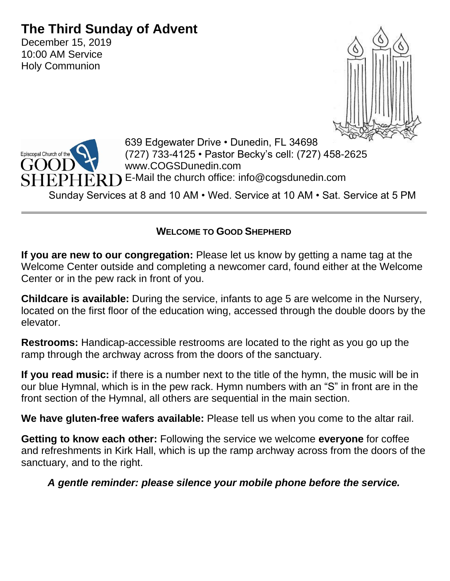# **The Third Sunday of Advent**

December 15, 2019 10:00 AM Service Holy Communion





639 Edgewater Drive • Dunedin, FL 34698 (727) 733-4125 • Pastor Becky's cell: (727) 458-2625 www.COGSDunedin.com

 $R\overline{D}$  E-Mail the church office: info@cogsdunedin.com

Sunday Services at 8 and 10 AM • Wed. Service at 10 AM • Sat. Service at 5 PM

## **WELCOME TO GOOD SHEPHERD**

**If you are new to our congregation:** Please let us know by getting a name tag at the Welcome Center outside and completing a newcomer card, found either at the Welcome Center or in the pew rack in front of you.

**Childcare is available:** During the service, infants to age 5 are welcome in the Nursery, located on the first floor of the education wing, accessed through the double doors by the elevator.

**Restrooms:** Handicap-accessible restrooms are located to the right as you go up the ramp through the archway across from the doors of the sanctuary.

**If you read music:** if there is a number next to the title of the hymn, the music will be in our blue Hymnal, which is in the pew rack. Hymn numbers with an "S" in front are in the front section of the Hymnal, all others are sequential in the main section.

**We have gluten-free wafers available:** Please tell us when you come to the altar rail.

**Getting to know each other:** Following the service we welcome **everyone** for coffee and refreshments in Kirk Hall, which is up the ramp archway across from the doors of the sanctuary, and to the right.

## *A gentle reminder: please silence your mobile phone before the service.*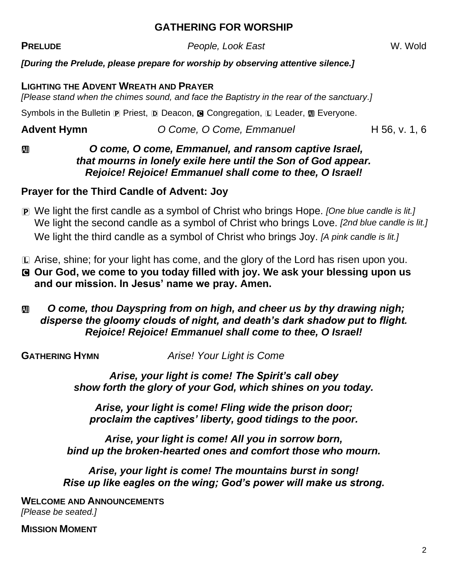## **GATHERING FOR WORSHIP**

**PRELUDE** *People, Look East* W. Wold

#### *[During the Prelude, please prepare for worship by observing attentive silence.]*

#### **LIGHTING THE ADVENT WREATH AND PRAYER**

*[Please stand when the chimes sound, and face the Baptistry in the rear of the sanctuary.]*

Symbols in the Bulletin  $\boxed{p}$  Priest,  $\boxed{D}$  Deacon,  $\boxed{Q}$  Congregation,  $\boxed{L}$  Leader,  $\boxed{M}$  Everyone.

**Advent Hymn** *O Come, O Come, Emmanuel* H 56, v. 1, 6

## a *O come, O come, Emmanuel, and ransom captive Israel, that mourns in lonely exile here until the Son of God appear. Rejoice! Rejoice! Emmanuel shall come to thee, O Israel!*

## **Prayer for the Third Candle of Advent: Joy**

- P We light the first candle as a symbol of Christ who brings Hope. *[One blue candle is lit.]* We light the second candle as a symbol of Christ who brings Love. *[2nd blue candle is lit.]* We light the third candle as a symbol of Christ who brings Joy. *[A pink candle is lit.]*
- L Arise, shine; for your light has come, and the glory of the Lord has risen upon you.
- C **Our God, we come to you today filled with joy. We ask your blessing upon us and our mission. In Jesus' name we pray. Amen.**

## $\mathbb{R}$ *O* **come, thou Dayspring from on high, and cheer us by thy drawing nigh;** *disperse the gloomy clouds of night, and death's dark shadow put to flight. Rejoice! Rejoice! Emmanuel shall come to thee, O Israel!*

**GATHERING HYMN** *Arise! Your Light is Come*

*Arise, your light is come! The Spirit's call obey show forth the glory of your God, which shines on you today.* 

*Arise, your light is come! Fling wide the prison door; proclaim the captives' liberty, good tidings to the poor.* 

*Arise, your light is come! All you in sorrow born, bind up the broken-hearted ones and comfort those who mourn.*

*Arise, your light is come! The mountains burst in song! Rise up like eagles on the wing; God's power will make us strong.* 

**WELCOME AND ANNOUNCEMENTS** *[Please be seated.]*

**MISSION MOMENT**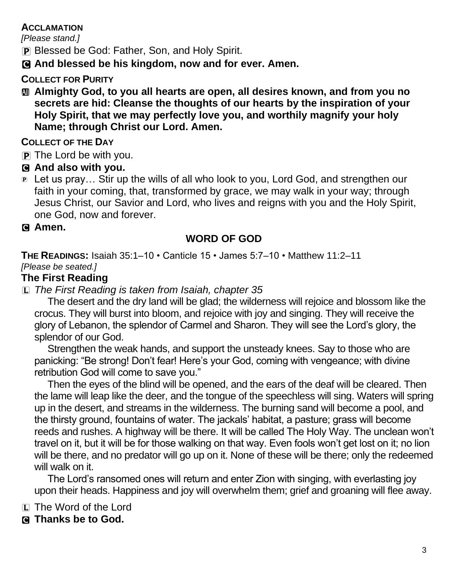## **ACCLAMATION**

*[Please stand.]*

P Blessed be God: Father, Son, and Holy Spirit.

C **And blessed be his kingdom, now and for ever. Amen.**

## **COLLECT FOR PURITY**

a **Almighty God, to you all hearts are open, all desires known, and from you no secrets are hid: Cleanse the thoughts of our hearts by the inspiration of your Holy Spirit, that we may perfectly love you, and worthily magnify your holy Name; through Christ our Lord. Amen.**

## **COLLECT OF THE DAY**

 $\overline{p}$  The Lord be with you.

## C **And also with you.**

**P** Let us pray... Stir up the wills of all who look to you, Lord God, and strengthen our faith in your coming, that, transformed by grace, we may walk in your way; through Jesus Christ, our Savior and Lord, who lives and reigns with you and the Holy Spirit, one God, now and forever.

C **Amen.**

## **WORD OF GOD**

**THE READINGS:** Isaiah 35:1–10 • Canticle 15 • James 5:7–10 • Matthew 11:2–11 *[Please be seated.]*

## **The First Reading**

L *The First Reading is taken from Isaiah, chapter 35*

The desert and the dry land will be glad; the wilderness will rejoice and blossom like the crocus. They will burst into bloom, and rejoice with joy and singing. They will receive the glory of Lebanon, the splendor of Carmel and Sharon. They will see the Lord's glory, the splendor of our God.

Strengthen the weak hands, and support the unsteady knees. Say to those who are panicking: "Be strong! Don't fear! Here's your God, coming with vengeance; with divine retribution God will come to save you."

Then the eyes of the blind will be opened, and the ears of the deaf will be cleared. Then the lame will leap like the deer, and the tongue of the speechless will sing. Waters will spring up in the desert, and streams in the wilderness. The burning sand will become a pool, and the thirsty ground, fountains of water. The jackals' habitat, a pasture; grass will become reeds and rushes. A highway will be there. It will be called The Holy Way. The unclean won't travel on it, but it will be for those walking on that way. Even fools won't get lost on it; no lion will be there, and no predator will go up on it. None of these will be there; only the redeemed will walk on it.

The Lord's ransomed ones will return and enter Zion with singing, with everlasting joy upon their heads. Happiness and joy will overwhelm them; grief and groaning will flee away.

L The Word of the Lord

C **Thanks be to God.**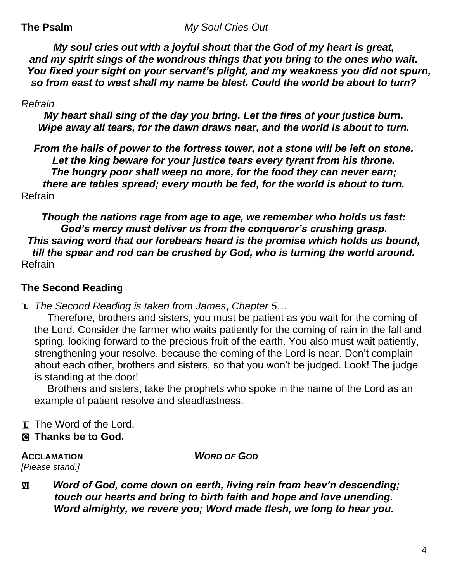*My soul cries out with a joyful shout that the God of my heart is great, and my spirit sings of the wondrous things that you bring to the ones who wait. You fixed your sight on your servant's plight, and my weakness you did not spurn, so from east to west shall my name be blest. Could the world be about to turn?*

## *Refrain*

*My heart shall sing of the day you bring. Let the fires of your justice burn. Wipe away all tears, for the dawn draws near, and the world is about to turn.*

*From the halls of power to the fortress tower, not a stone will be left on stone. Let the king beware for your justice tears every tyrant from his throne. The hungry poor shall weep no more, for the food they can never earn; there are tables spread; every mouth be fed, for the world is about to turn.* Refrain

*Though the nations rage from age to age, we remember who holds us fast: God's mercy must deliver us from the conqueror's crushing grasp. This saving word that our forebears heard is the promise which holds us bound, till the spear and rod can be crushed by God, who is turning the world around.* Refrain

## **The Second Reading**

L *The Second Reading is taken from James*, *Chapter 5*…

Therefore, brothers and sisters, you must be patient as you wait for the coming of the Lord. Consider the farmer who waits patiently for the coming of rain in the fall and spring, looking forward to the precious fruit of the earth. You also must wait patiently, strengthening your resolve, because the coming of the Lord is near. Don't complain about each other, brothers and sisters, so that you won't be judged. Look! The judge is standing at the door!

Brothers and sisters, take the prophets who spoke in the name of the Lord as an example of patient resolve and steadfastness.

L The Word of the Lord.

## C **Thanks be to God.**

**ACCLAMATION** *WORD OF GOD [Please stand.]*

 $M$  *Word of God, come down on earth, living rain from heav'n descending; touch our hearts and bring to birth faith and hope and love unending. Word almighty, we revere you; Word made flesh, we long to hear you.*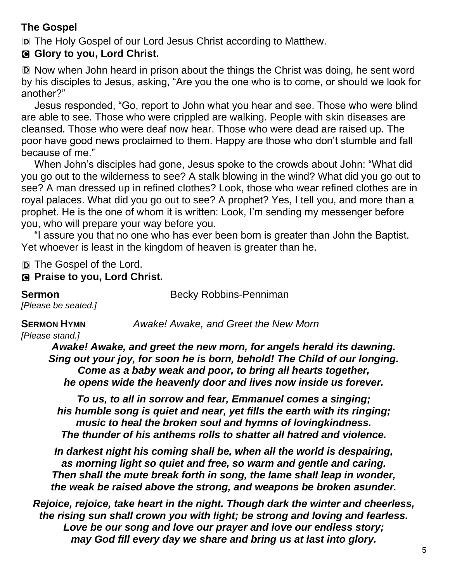## **The Gospel**

D The Holy Gospel of our Lord Jesus Christ according to Matthew.

## C **Glory to you, Lord Christ.**

D Now when John heard in prison about the things the Christ was doing, he sent word by his disciples to Jesus, asking, "Are you the one who is to come, or should we look for another?"

Jesus responded, "Go, report to John what you hear and see. Those who were blind are able to see. Those who were crippled are walking. People with skin diseases are cleansed. Those who were deaf now hear. Those who were dead are raised up. The poor have good news proclaimed to them. Happy are those who don't stumble and fall because of me."

When John's disciples had gone, Jesus spoke to the crowds about John: "What did you go out to the wilderness to see? A stalk blowing in the wind? What did you go out to see? A man dressed up in refined clothes? Look, those who wear refined clothes are in royal palaces. What did you go out to see? A prophet? Yes, I tell you, and more than a prophet. He is the one of whom it is written: Look, I'm sending my messenger before you, who will prepare your way before you.

"I assure you that no one who has ever been born is greater than John the Baptist. Yet whoever is least in the kingdom of heaven is greater than he.

D The Gospel of the Lord.

## C **Praise to you, Lord Christ.**

*[Please be seated.]*

**Sermon** Becky Robbins-Penniman

**SERMON HYMN** *Awake! Awake, and Greet the New Morn*

## *[Please stand.]*

*Awake! Awake, and greet the new morn, for angels herald its dawning. Sing out your joy, for soon he is born, behold! The Child of our longing. Come as a baby weak and poor, to bring all hearts together, he opens wide the heavenly door and lives now inside us forever.* 

*To us, to all in sorrow and fear, Emmanuel comes a singing; his humble song is quiet and near, yet fills the earth with its ringing; music to heal the broken soul and hymns of lovingkindness. The thunder of his anthems rolls to shatter all hatred and violence.* 

*In darkest night his coming shall be, when all the world is despairing, as morning light so quiet and free, so warm and gentle and caring. Then shall the mute break forth in song, the lame shall leap in wonder, the weak be raised above the strong, and weapons be broken asunder.*

*Rejoice, rejoice, take heart in the night. Though dark the winter and cheerless, the rising sun shall crown you with light; be strong and loving and fearless. Love be our song and love our prayer and love our endless story; may God fill every day we share and bring us at last into glory.*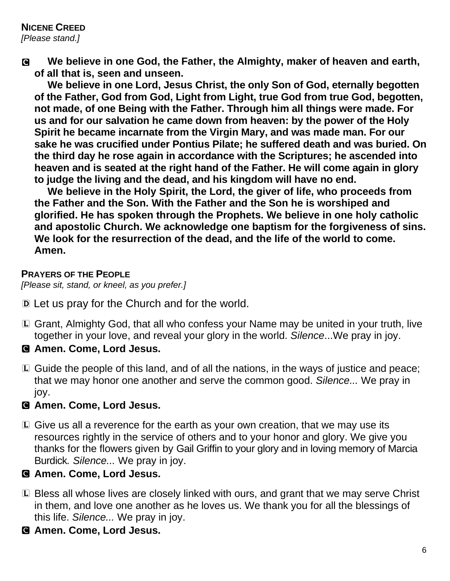C **We believe in one God, the Father, the Almighty, maker of heaven and earth, of all that is, seen and unseen.**

**We believe in one Lord, Jesus Christ, the only Son of God, eternally begotten of the Father, God from God, Light from Light, true God from true God, begotten, not made, of one Being with the Father. Through him all things were made. For us and for our salvation he came down from heaven: by the power of the Holy Spirit he became incarnate from the Virgin Mary, and was made man. For our sake he was crucified under Pontius Pilate; he suffered death and was buried. On the third day he rose again in accordance with the Scriptures; he ascended into heaven and is seated at the right hand of the Father. He will come again in glory to judge the living and the dead, and his kingdom will have no end.**

**We believe in the Holy Spirit, the Lord, the giver of life, who proceeds from the Father and the Son. With the Father and the Son he is worshiped and glorified. He has spoken through the Prophets. We believe in one holy catholic and apostolic Church. We acknowledge one baptism for the forgiveness of sins. We look for the resurrection of the dead, and the life of the world to come. Amen.**

## **PRAYERS OF THE PEOPLE**

*[Please sit, stand, or kneel, as you prefer.]*

- D Let us pray for the Church and for the world.
- L Grant, Almighty God, that all who confess your Name may be united in your truth, live together in your love, and reveal your glory in the world. *Silence*...We pray in joy.
- C **Amen. Come, Lord Jesus.**
- L Guide the people of this land, and of all the nations, in the ways of justice and peace; that we may honor one another and serve the common good. *Silence...* We pray in joy.

## C **Amen. Come, Lord Jesus.**

- L Give us all a reverence for the earth as your own creation, that we may use its resources rightly in the service of others and to your honor and glory. We give you thanks for the flowers given by Gail Griffin to your glory and in loving memory of Marcia Burdick*. Silence...* We pray in joy.
- C **Amen. Come, Lord Jesus.**
- L Bless all whose lives are closely linked with ours, and grant that we may serve Christ in them, and love one another as he loves us. We thank you for all the blessings of this life. *Silence...* We pray in joy.
- C **Amen. Come, Lord Jesus.**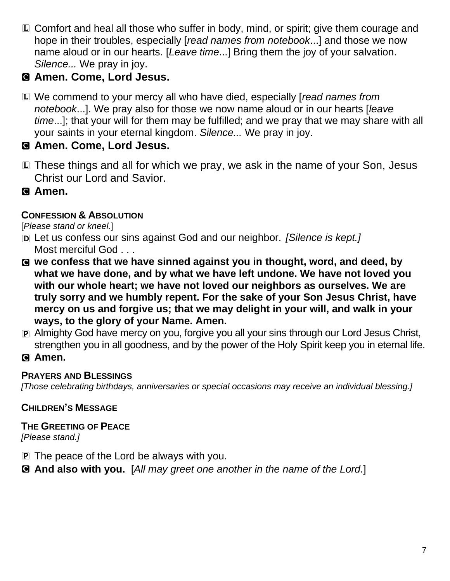L Comfort and heal all those who suffer in body, mind, or spirit; give them courage and hope in their troubles, especially [*read names from notebook*...] and those we now name aloud or in our hearts. [*Leave time*...] Bring them the joy of your salvation. *Silence...* We pray in joy.

# C **Amen. Come, Lord Jesus.**

L We commend to your mercy all who have died, especially [*read names from notebook*...]. We pray also for those we now name aloud or in our hearts [*leave time*...]; that your will for them may be fulfilled; and we pray that we may share with all your saints in your eternal kingdom. *Silence...* We pray in joy.

# C **Amen. Come, Lord Jesus.**

- L These things and all for which we pray, we ask in the name of your Son, Jesus Christ our Lord and Savior.
- C **Amen.**

# **CONFESSION & ABSOLUTION**

[*Please stand or kneel.*]

- D Let us confess our sins against God and our neighbor. *[Silence is kept.]* Most merciful God . . .
- C **we confess that we have sinned against you in thought, word, and deed, by what we have done, and by what we have left undone. We have not loved you with our whole heart; we have not loved our neighbors as ourselves. We are truly sorry and we humbly repent. For the sake of your Son Jesus Christ, have mercy on us and forgive us; that we may delight in your will, and walk in your ways, to the glory of your Name. Amen.**
- P Almighty God have mercy on you, forgive you all your sins through our Lord Jesus Christ, strengthen you in all goodness, and by the power of the Holy Spirit keep you in eternal life.
- C **Amen.**

# **PRAYERS AND BLESSINGS**

*[Those celebrating birthdays, anniversaries or special occasions may receive an individual blessing.]*

# **CHILDREN'S MESSAGE**

#### **THE GREETING OF PEACE** *[Please stand.]*

- **P** The peace of the Lord be always with you.
- C **And also with you.** [*All may greet one another in the name of the Lord.*]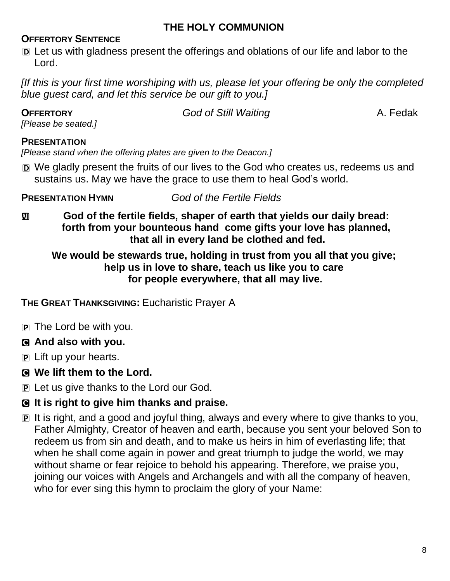## **THE HOLY COMMUNION**

## **OFFERTORY SENTENCE**

D Let us with gladness present the offerings and oblations of our life and labor to the Lord.

*[If this is your first time worshiping with us, please let your offering be only the completed blue guest card, and let this service be our gift to you.]*

**OFFERTORY God of Still Waiting A. Fedak** 

# *[Please be seated.]*

## **PRESENTATION**

*[Please stand when the offering plates are given to the Deacon.]*

D We gladly present the fruits of our lives to the God who creates us, redeems us and sustains us. May we have the grace to use them to heal God's world.

**PRESENTATION HYMN** *God of the Fertile Fields*

 $\mathbf{u}$  **God of the fertile fields, shaper of earth that yields our daily bread: forth from your bounteous hand come gifts your love has planned, that all in every land be clothed and fed.**

## **We would be stewards true, holding in trust from you all that you give; help us in love to share, teach us like you to care for people everywhere, that all may live.**

## **THE GREAT THANKSGIVING:** Eucharistic Prayer A

P The Lord be with you.

## C **And also with you.**

- P Lift up your hearts.
- C **We lift them to the Lord.**
- P Let us give thanks to the Lord our God.

## C **It is right to give him thanks and praise.**

P It is right, and a good and joyful thing, always and every where to give thanks to you, Father Almighty, Creator of heaven and earth, because you sent your beloved Son to redeem us from sin and death, and to make us heirs in him of everlasting life; that when he shall come again in power and great triumph to judge the world, we may without shame or fear rejoice to behold his appearing. Therefore, we praise you, joining our voices with Angels and Archangels and with all the company of heaven, who for ever sing this hymn to proclaim the glory of your Name: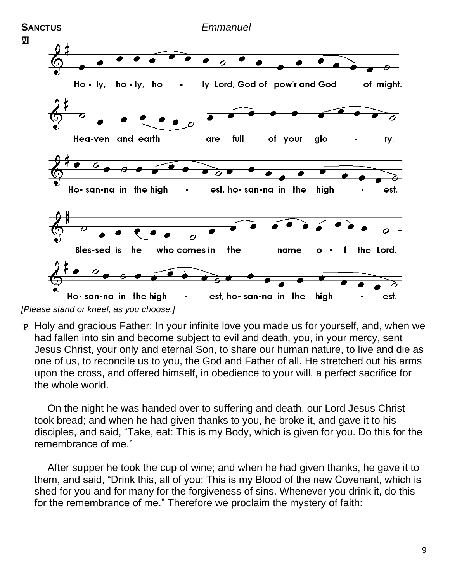

*<sup>[</sup>Please stand or kneel, as you choose.]*

P Holy and gracious Father: In your infinite love you made us for yourself, and, when we had fallen into sin and become subject to evil and death, you, in your mercy, sent Jesus Christ, your only and eternal Son, to share our human nature, to live and die as one of us, to reconcile us to you, the God and Father of all. He stretched out his arms upon the cross, and offered himself, in obedience to your will, a perfect sacrifice for the whole world.

On the night he was handed over to suffering and death, our Lord Jesus Christ took bread; and when he had given thanks to you, he broke it, and gave it to his disciples, and said, "Take, eat: This is my Body, which is given for you. Do this for the remembrance of me."

After supper he took the cup of wine; and when he had given thanks, he gave it to them, and said, "Drink this, all of you: This is my Blood of the new Covenant, which is shed for you and for many for the forgiveness of sins. Whenever you drink it, do this for the remembrance of me." Therefore we proclaim the mystery of faith: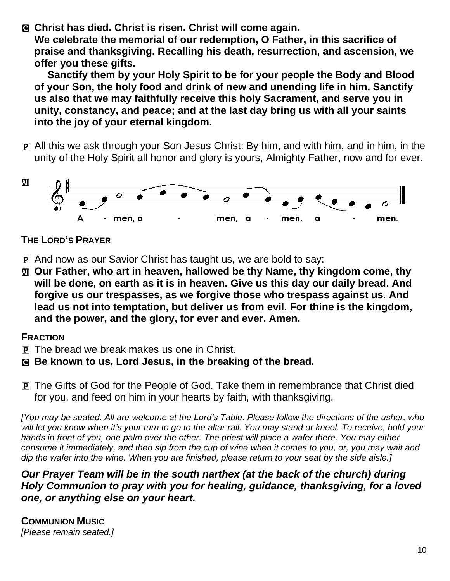C **Christ has died. Christ is risen. Christ will come again.**

**We celebrate the memorial of our redemption, O Father, in this sacrifice of praise and thanksgiving. Recalling his death, resurrection, and ascension, we offer you these gifts.**

**Sanctify them by your Holy Spirit to be for your people the Body and Blood of your Son, the holy food and drink of new and unending life in him. Sanctify us also that we may faithfully receive this holy Sacrament, and serve you in unity, constancy, and peace; and at the last day bring us with all your saints into the joy of your eternal kingdom.**

P All this we ask through your Son Jesus Christ: By him, and with him, and in him, in the unity of the Holy Spirit all honor and glory is yours, Almighty Father, now and for ever.



## **THE LORD'S PRAYER**

- P And now as our Savior Christ has taught us, we are bold to say:
- a **Our Father, who art in heaven, hallowed be thy Name, thy kingdom come, thy will be done, on earth as it is in heaven. Give us this day our daily bread. And forgive us our trespasses, as we forgive those who trespass against us. And lead us not into temptation, but deliver us from evil. For thine is the kingdom, and the power, and the glory, for ever and ever. Amen.**

## **FRACTION**

- P The bread we break makes us one in Christ.
- C **Be known to us, Lord Jesus, in the breaking of the bread.**
- P The Gifts of God for the People of God. Take them in remembrance that Christ died for you, and feed on him in your hearts by faith, with thanksgiving.

[You may be seated. All are welcome at the Lord's Table. Please follow the directions of the usher, who will let you know when it's your turn to go to the altar rail. You may stand or kneel. To receive, hold your hands in front of you, one palm over the other. The priest will place a wafer there. You may either consume it immediately, and then sip from the cup of wine when it comes to you, or, you may wait and dip the wafer into the wine. When you are finished, please return to your seat by the side aisle.]

*Our Prayer Team will be in the south narthex (at the back of the church) during Holy Communion to pray with you for healing, guidance, thanksgiving, for a loved one, or anything else on your heart.*

#### **COMMUNION MUSIC** *[Please remain seated.]*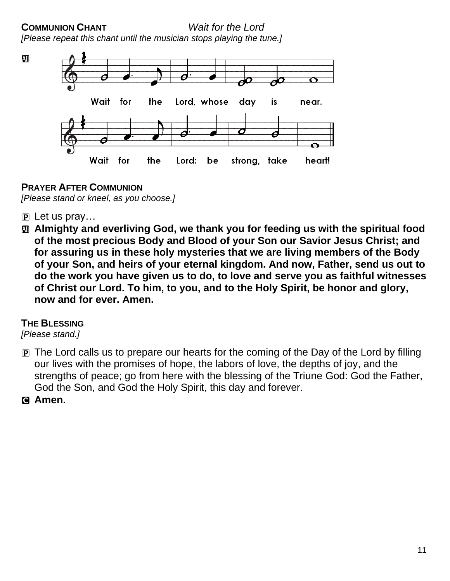**COMMUNION CHANT** *Wait for the Lord*

*[Please repeat this chant until the musician stops playing the tune.]*



## **PRAYER AFTER COMMUNION**

*[Please stand or kneel, as you choose.]*

- $\mathbf{P}$  Let us pray...
- a **Almighty and everliving God, we thank you for feeding us with the spiritual food of the most precious Body and Blood of your Son our Savior Jesus Christ; and for assuring us in these holy mysteries that we are living members of the Body of your Son, and heirs of your eternal kingdom. And now, Father, send us out to do the work you have given us to do, to love and serve you as faithful witnesses of Christ our Lord. To him, to you, and to the Holy Spirit, be honor and glory, now and for ever. Amen.**

## **THE BLESSING**

*[Please stand.]*

- P The Lord calls us to prepare our hearts for the coming of the Day of the Lord by filling our lives with the promises of hope, the labors of love, the depths of joy, and the strengths of peace; go from here with the blessing of the Triune God: God the Father, God the Son, and God the Holy Spirit, this day and forever.
- C **Amen.**